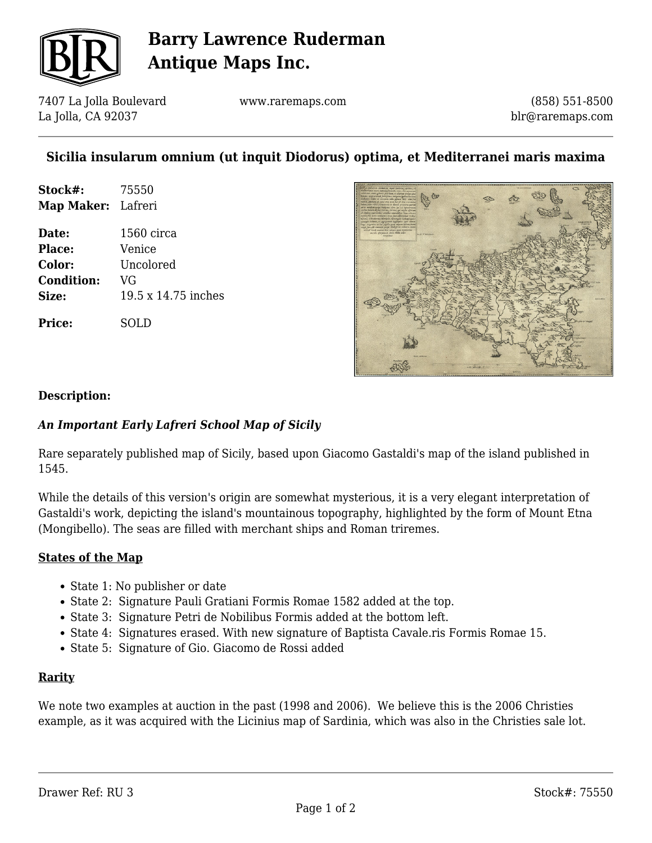

## **Barry Lawrence Ruderman Antique Maps Inc.**

7407 La Jolla Boulevard La Jolla, CA 92037

www.raremaps.com

(858) 551-8500 blr@raremaps.com

## **Sicilia insularum omnium (ut inquit Diodorus) optima, et Mediterranei maris maxima**

| Stock#:            | 75550 |
|--------------------|-------|
| Map Maker: Lafreri |       |

**Date:** 1560 circa **Place:** Venice **Color:** Uncolored **Condition:** VG **Size:** 19.5 x 14.75 inches

**Price:** SOLD



#### **Description:**

### *An Important Early Lafreri School Map of Sicily*

Rare separately published map of Sicily, based upon Giacomo Gastaldi's map of the island published in 1545.

While the details of this version's origin are somewhat mysterious, it is a very elegant interpretation of Gastaldi's work, depicting the island's mountainous topography, highlighted by the form of Mount Etna (Mongibello). The seas are filled with merchant ships and Roman triremes.

#### **States of the Map**

- State 1: No publisher or date
- State 2: Signature Pauli Gratiani Formis Romae 1582 added at the top.
- State 3: Signature Petri de Nobilibus Formis added at the bottom left.
- State 4: Signatures erased. With new signature of Baptista Cavale.ris Formis Romae 15.
- State 5: Signature of Gio. Giacomo de Rossi added

#### **Rarity**

We note two examples at auction in the past (1998 and 2006). We believe this is the 2006 Christies example, as it was acquired with the Licinius map of Sardinia, which was also in the Christies sale lot.